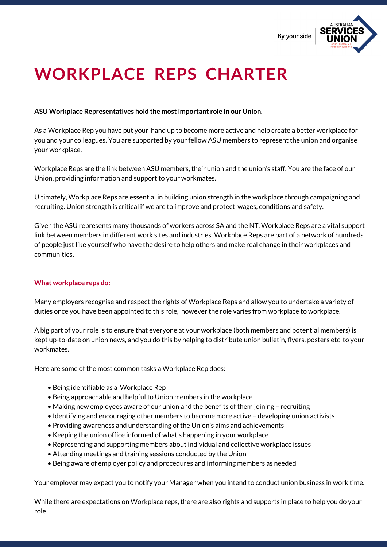By your side



# **WORKPLACE REPS CHARTER**

## **ASU Workplace Representatives hold the mostimportant role in our Union.**

As a Workplace Rep you have put your hand up to become more active and help create a better workplace for you and your colleagues. You are supported by your fellow ASU members to represent the union and organise your workplace.

Workplace Reps are the link between ASU members, their union and the union's staff. You are the face of our Union, providing information and support to your workmates.

Ultimately, Workplace Reps are essential in building union strength in the workplace through campaigning and recruiting. Union strength is critical if we are to improve and protect wages, conditions and safety.

Given the ASU represents many thousands of workers across SA and the NT, Workplace Reps are a vital support link between members in different work sites and industries. Workplace Reps are part of a network of hundreds of people just like yourself who have the desire to help others and make real change in their workplaces and communities.

## **What workplace reps do:**

Many employers recognise and respect the rights of Workplace Reps and allow you to undertake a variety of duties once you have been appointed to this role, however the role varies from workplace to workplace.

A big part of your role is to ensure that everyone at your workplace (both members and potential members) is kept up-to-date on union news, and you do this by helping to distribute union bulletin, flyers, posters etc to your workmates.

Here are some of the most common tasks a Workplace Rep does:

- Being identifiable as a Workplace Rep
- Being approachable and helpful to Union members in the workplace
- Making new employees aware of our union and the benefits of them joining recruiting
- Identifying and encouraging other members to become more active developing union activists
- Providing awareness and understanding of the Union's aims and achievements
- Keeping the union office informed of what's happening in your workplace
- Representing and supporting members about individual and collective workplace issues
- Attending meetings and training sessions conducted by the Union
- Being aware of employer policy and procedures and informing members as needed

Your employer may expect you to notify your Manager when you intend to conduct union business in work time.

While there are expectations on Workplace reps, there are also rights and supports in place to help you do your role.